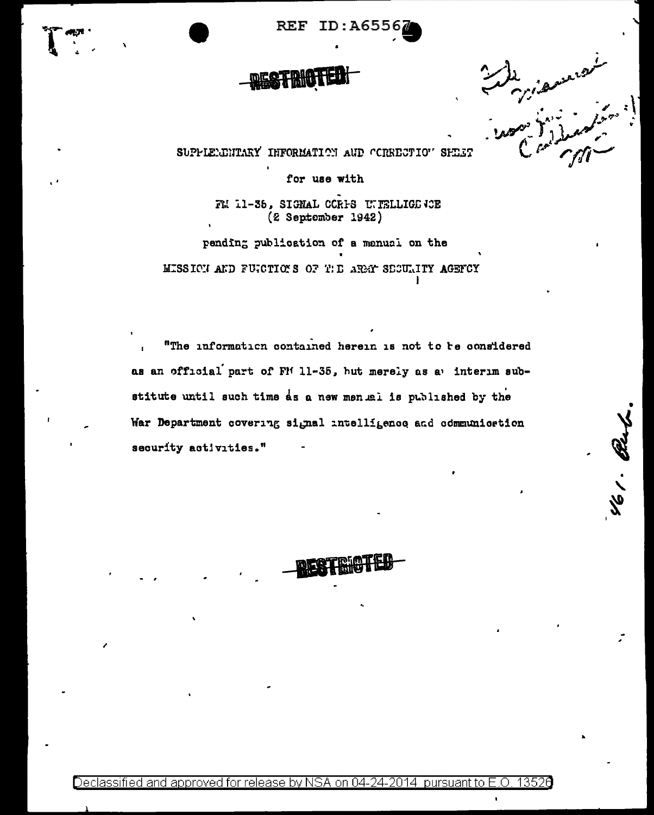**REF**  $ID: A655$ 

SUPPLEMBUTARY INFORMATION AUD CORECTION SHEET

for use with

FL 11-36, SIGNAL CCRIS UNFELLIGE (CE (2 September 1942)

pending publication of a manual on the MISSICH AND FUICTIONS OF THE AREAN SECULITY AGENCY

"The information contained herein is not to be considered as an official part of FM 11-35, but merely as a interim substitute until such time as a new menual is published by the War Department covering signal intelligence and communication security activities."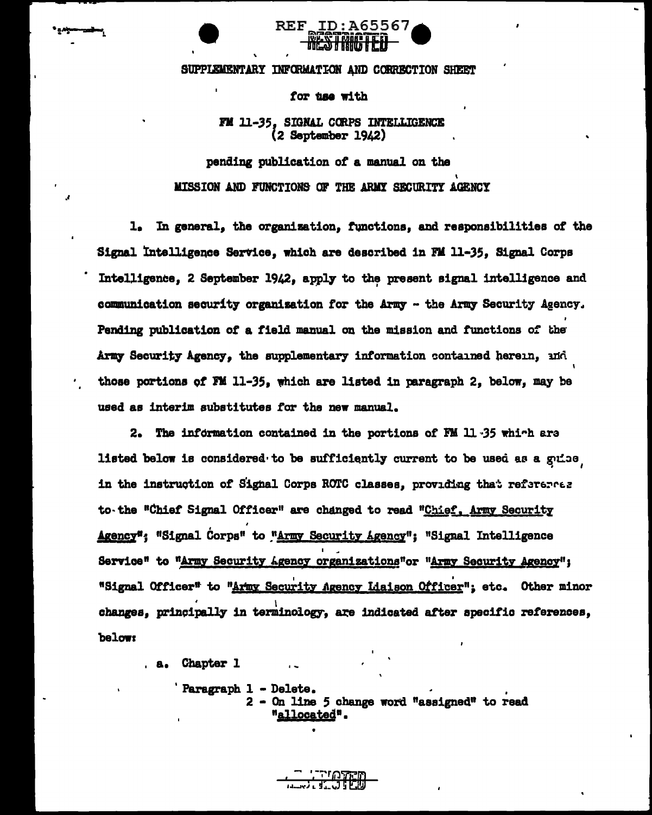

SUPPLEMENTARY INFORMATION AND CORRECTION SHEET

for time with

FM 11-35. SIGNAL CORPS INTELLIGENCE  $(2$  September  $19.2)$ 

pending publication of a manual on the MISSION AND FUNCTIONS OF THE ARMY SECURITY AGENCY

1. In general, the organization, functions, and responsibilities of the Signal Intelligence Service, which are described in FM 11-35. Signal Corps Intelligence. 2 September 1942. apply to the present signal intelligence and communication security organization for the Army - the Army Security Agency. Pending publication of a field manual on the mission and functions of the Army Security Agency, the supplementary information contained herein, mid those portions of FM 11-35, which are listed in paragraph 2, below, may be used as interim substitutes for the new manual.

2. The information contained in the portions of FM 11.35 which are listed below is considered to be sufficiently current to be used as a guide in the instruction of Signal Corps ROTC classes, providing that reference to the "Chief Signal Officer" are changed to read "Chief, Army Security Agency": "Signal Corps" to "Army Security Agency": "Signal Intelligence Service" to "Army Security Agency organizations"or "Army Security Agency": "Signal Officer" to "Army Security Agency Liaison Officer"; etc. Other minor changes, principally in terminology, are indicated after specific references, below:

a. Chapter 1

Paragraph 1 - Delete. 2 - On line 5 change word "assigned" to read "allocated".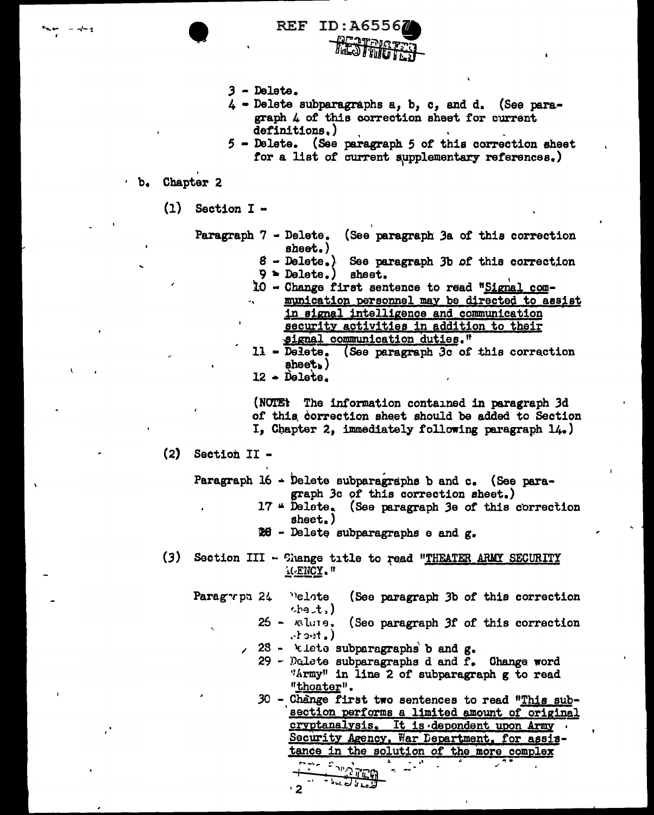- $3 -$ Delete.
- 4 Delete subparagraphs a, b, c, and d. (See paragraph 4 of this correction sheet for current definitions.)
- 5 Delete. (See paragraph 5 of this correction sheet for a list of current supplementary references.)

## b. Chapter 2

 $(1)$ Section I -

Paragraph 7 - Delete. (See paragraph 3a of this correction sheet.)  $8 - \text{Delete.}$ ) See paragraph 3b of this correction  $9$  > Delete.) sheet. 10 - Change first sentence to read "Signal communication personnel may be directed to assist in signal intelligence and communication security activities in addition to their signal communication duties." 11 - Delete. (See paragraph 3c of this correction  $\mathsf{sheet}_\bullet$  )  $12 - \text{Delete.}$ (NOTE: The information contained in paragraph 3d of this correction sheet should be added to Section I, Chapter 2, immediately following paragraph 14.)  $(2)$ Section II -Paragraph 16 - Delete subparagraphs b and c. (See paragraph 3c of this correction sheet.) 17 " Delete. (See paragraph 3e of this correction sheet.) 26 - Delete subparagraphs e and g. (3) Section III - Shange title to read "THEATER ARMY SECURITY <u>'(FNCY</u>." Paragrpn 24 **Pelote** (See paragraph 3b of this correction  $the$  $t$ ,) 25 - *ופ*וטו (See paragraph 3f of this correction  $cdot)$ 28 - klete subparagraphs b and  $g$ .  $29$  - Delete subparagraphs d and  $f_{\bullet}$ Change word "Army" in line 2 of subparagraph g to read "thoater". 30 - Change first two sentences to read "This subsection performs a limited amount of original cryptanalysis. It is dependent upon Army Security Agency, War Department, for assistance in the solution of the more complex

 $\sum_{i=1}^{n} \sum_{j=1}^{n} \frac{1}{j!}$ للمسار أوالعاملة  $\cdot$  2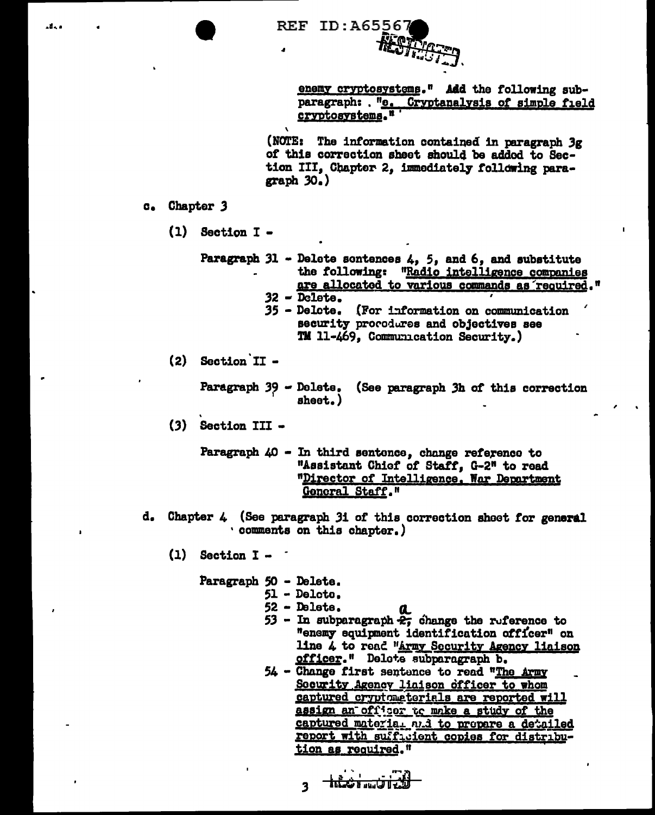| <b>REF ID:A65567</b> |
|----------------------|
| HOTTA COMPANY        |

enemy cryptosystems." Add the following subparagraph: . "9. Cryptanalysis of simple field cryptosystems."

(NOTE: The information contained in paragraph 3g of this correction sheet should be added to Section III, Chapter 2, immediately following paragraph  $30.$ )

- c. Chapter 3
	- $(1)$  Section I -

Paragraph 31 - Delete sontences  $4, 5,$  and  $6,$  and substitute the following: "Radio intelligence companies are allocated to various commands as required."  $32 -$ Delete. 35 - Delete. (For information on communication

security procodures and objectives see TM 11-469, Communication Security.)

(2) Section II -

Paragraph 39 - Dolete. (See paragraph 3h of this correction sheet.)

- (3) Section III -
	- Paragraph 40 In third sentence, change reference to "Assistant Chief of Staff, G-2" to read "Director of Intelligence. War Department General Staff."
- Chapter 4 (See paragraph 3i of this correction sheet for general d. ' comments on this chapter.)
	- $(1)$  Section I -
		- Paragraph 50 Delete.
			- 51 Delcto.
				- $52 -$ Delete.
				- a 53 - In subparagraph  $\hat{z}$ , change the ruference to "enemy equipment identification officer" on line 4 to read "Army Security Agency liaison officer." Delete subparagraph b.
			- 54 Change first sentence to read "The Army Socurity Agency liaison officer to whom captured cryptometerials are reported will assign an officer to make a study of the captured material and to prepare a detailed report with sufficient copies for distribution as required."

$$
+\frac{1}{2}
$$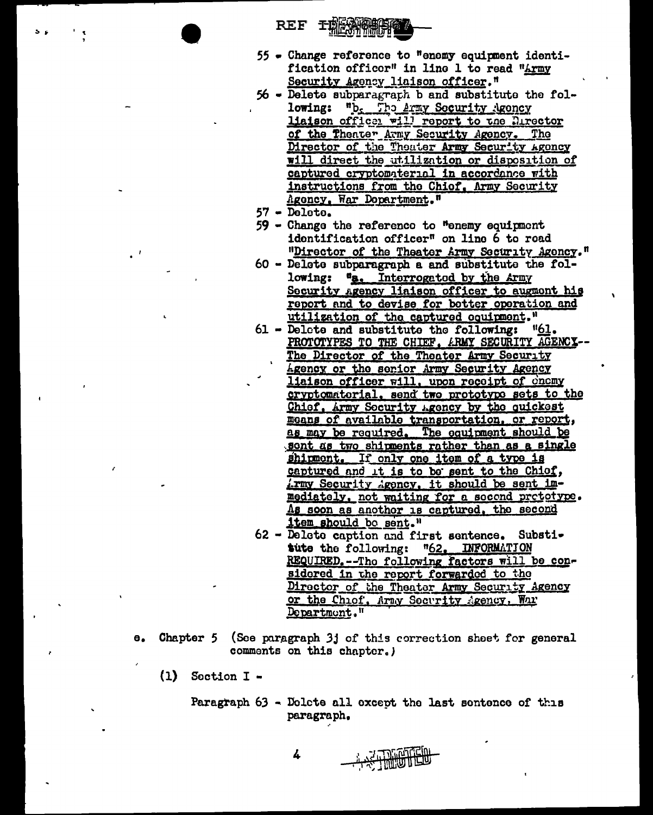- REF TERNAME
- 55 Change reference to "enemy equipment identification officer" in line 1 to read "Army Security Agency liaison officer."
- 56 Delete subparagraph b and substitute the following: "b. The Army Security Agency liaison officer will report to the Director of the Theater Army Security Agency. The Director of the Theater Army Security Agency will direct the utilization or disposition of captured cryptomaterial in accordance with instructions from the Chief. Army Security Agency, War Department."
- $57 \overline{\text{Deltato}}$ .
- 59 Change the reference to "enemy equipment identification officer" on line 6 to read "Director of the Theater Army Security Agency."
- 60 Delete subparagraph a and substitute the following: "a. Interrogated by the Army Security Agency liaison officer to augment his report and to devise for better operation and utilization of the captured coulpment."
- 61 Delete and substitute the following: "61. PROTOTYPES TO THE CHIEF, ARMY SECURITY AGENCY--The Director of the Theater Army Security Agency or the senior Army Security Agency<br>liaison officer will, upon receipt of chemy cryptomatorial, send two prototype sets to the Chief, Army Socurity Agency by the quickest means of available transportation, or report, as may be required. The equipment should be sont as two shipments rather than as a single shipment. If only one item of a type is captured and it is to be sent to the Chief, irmy Security Agency, it should be sent immediately, not waiting for a second prototype. As soon as anothor is captured, the second item should bo sent."
- 62 Delete caption and first sentence. Substitute the following: "62. INFORMATION REQUIRED. -- The following factors will be considered in the report forwarded to the Director of the Theater Army Security Agency or the Chiof, Army Socurity Agency, While Department."
- Chapter 5 (See paragraph 3j of this correction sheet for general  $\mathbf{e}_{\bullet}$ comments on this chapter.)
	- $(1)$ Soction I -

Paragraph 63 - Dolcte all except the last sentence of this paragraph.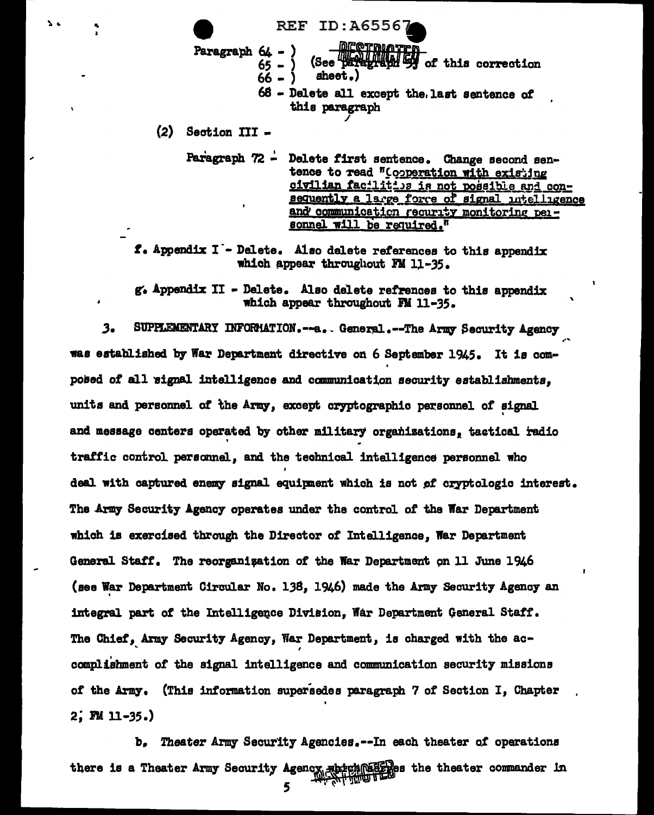

 $(2)$  Section III -

Paragraph 72 - Delete first sentence. Change second sentence to read "Cooperation with existing civilian facilities is not possible and consequently a large force of signal intelligence and communication recurity monitoring personnel will be required."

f. Appendix I - Delete. Also delete references to this appendix which appear throughout FM 11-35.

g. Appendix II - Delete. Also delete refrences to this appendix which appear throughout FM 11-35.

SUPPLEMENTARY INFORMATION.--a. General.--The Army Security Agency  $3<sub>o</sub>$ was established by War Department directive on 6 September 1945. It is composed of all signal intelligence and communication security establishments, units and personnel of the Army, except cryptographic personnel of signal and message centers operated by other military organizations, tactical radio traffic control personnel. and the technical intelligence personnel who deal with captured enemy signal equipment which is not of cryptologic interest. The Army Security Agency operates under the control of the War Department which is exercised through the Director of Intelligence, War Department General Staff. The reorganization of the War Department on 11 June 1946 (see War Department Circular No. 138, 1946) made the Army Security Agency an integral part of the Intelligence Division. War Department General Staff. The Chief, Army Security Agency, War Department, is charged with the accomplishment of the signal intelligence and communication security missions of the Army. (This information supersedes paragraph 7 of Section I, Chapter  $2; \mathbb{M}$  11-35.)

ъ. Theater Army Security Agencies.--In each theater of operations there is a Theater Army Security Agency attach@8820es the theater commander in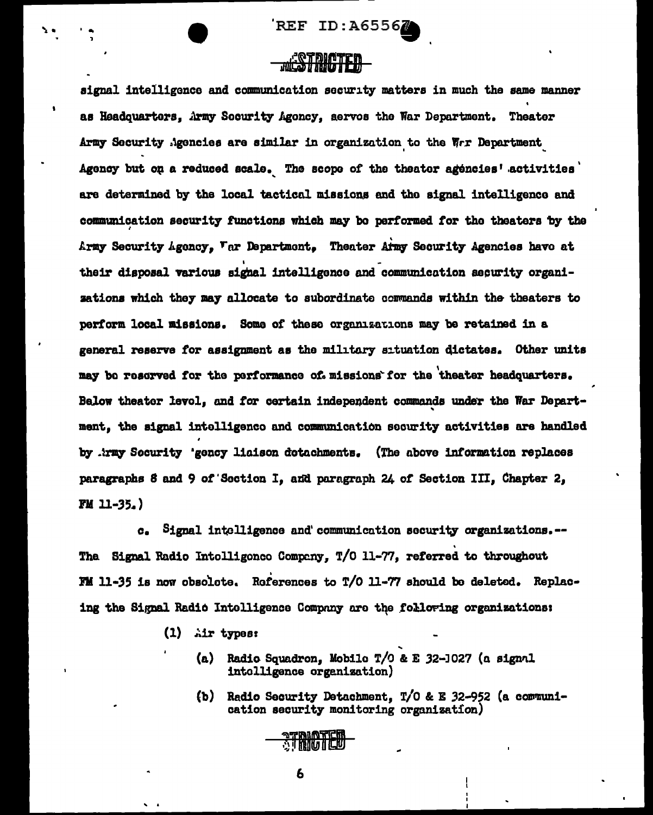REF ID:A6556

signal intelligence and communication security matters in much the same manner as Headquarters, Army Security Agoncy, servos the War Department. Theater Army Socurity Agencies are similar in organization to the Wir Department Agency but on a reduced scale. The scope of the theater agencies' activities are determined by the local tactical missions and the signal intelligence and communication security functions which may be performed for the theaters by the Army Security Agency, Tar Department. Theater Army Security Agencies have at their disposal various signal intelligence and communication security organisations which they may allocate to subordinate commands within the theaters to perform local missions. Some of these organizations may be retained in a general reserve for assignment as the military situation dictates. Other units may be reserved for the performance of missions for the theater headquarters. Below theater level, and for certain independent commands under the War Department, the signal intelligence and communication security activities are handled by .trmy Security 'gency liaison detachments. (The above information replaces paragraphs 8 and 9 of Section I, and paragraph 24 of Section III, Chapter 2, **FM 11-35.)** 

c. Signal intelligence and communication security organizations.--The Signal Radio Intolligonco Company, T/O 11-77, referred to throughout FM 11-35 is now obsolete. References to T/O 11-77 should be deleted. Replacing the Signal Radio Intelligence Company are the following organizations:

- $(1)$  air types:
	- (a) Radio Squadron, Mobile T/0 & E 32-1027 (a signal intolligence organization)
	- (b) Radio Security Detachment, T/O & E 32-952 (a communication security monitoring organization)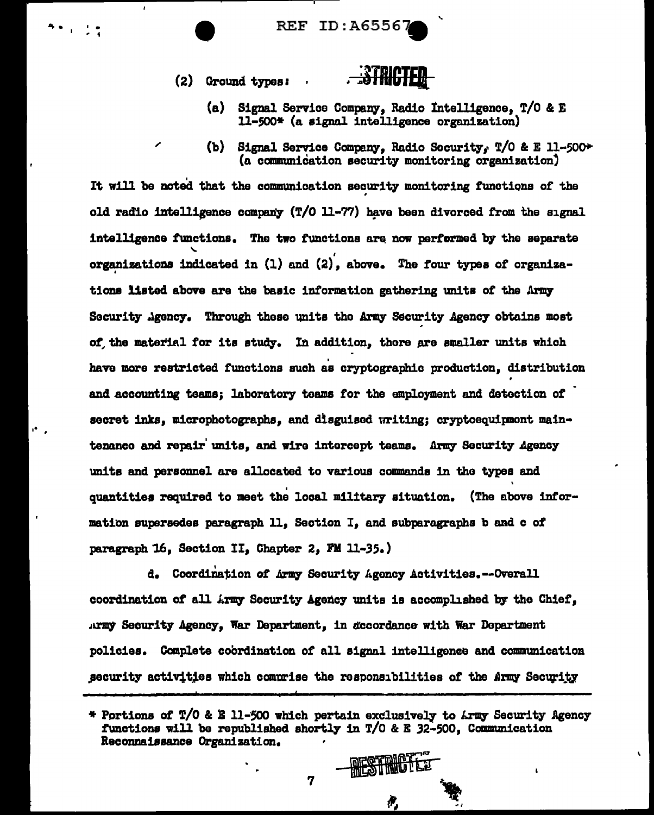**REF ID: A6556** 

(2) Ground types:



- (a) Signal Service Company, Radio Intelligence, T/O & E 11-500\* (a signal intelligence organization)
- (b) Signal Service Company, Radio Security, T/O & E 11-500+ (a communication security monitoring organization)

It will be noted that the communication security monitoring functions of the old radio intelligence company (T/O 11-77) have been divorced from the signal intelligence functions. The two functions are now performed by the separate organizations indicated in  $(1)$  and  $(2)$ , above. The four types of organizations listed above are the basic information gathering units of the Army Security Agency. Through these units the Army Security Agency obtains most of the material for its study. In addition, there are smaller units which have more restricted functions such as cryptographic production, distribution and accounting teams: laboratory teams for the employment and detection of secret inks, microphotographs, and disguised writing; cryptoequipment maintenance and repair units, and wire intercept teams. Army Security Agency units and personnel are allocated to various commands in the types and quantities required to meet the local military situation. (The above information supersedes paragraph 11, Section I, and subparagraphs b and c of paragraph 16. Section II. Chapter 2. FM 11-35.)

d. Coordination of Army Security Agoncy Activities. --Overall coordination of all Army Security Agency units is accomplished by the Chief, Army Security Agency, War Department, in accordance with War Department policies. Complete coordination of all signal intelligence and communication security activities which comprise the responsibilities of the Army Security

**MESTRICTE** 

<sup>\*</sup> Portions of T/O & E 11-500 which pertain exclusively to Army Security Agency functions will be republished shortly in T/O & E 32-500, Communication Reconnaissance Organization.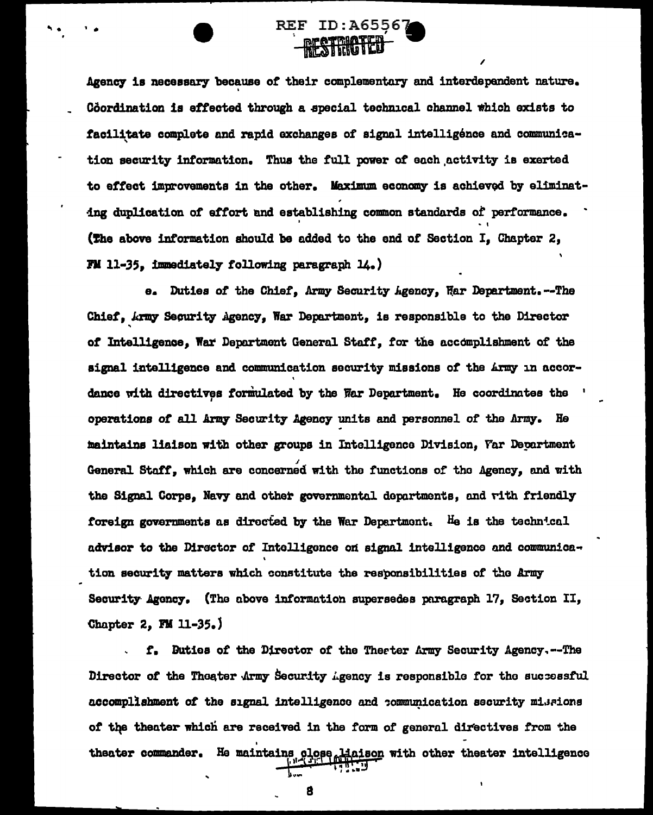

Agency is necessary because of their complementary and interdependent nature. Coordination is effected through a special technical channel which exists to facilitate complete and rapid exchanges of signal intelligénce and communication security information. Thus the full power of each activity is exerted to effect improvements in the other. Maximum economy is achieved by eliminating duplication of effort and establishing common standards of performance. (The above information should be added to the end of Section I, Chapter 2, FM 11-35. immediately following paragraph  $14.$ )

Duties of the Chief, Army Security Agency, Har Department.--The  $\mathbf{e}_{\bullet}$ Chief, Army Security Agency, War Department, is responsible to the Director of Intelligence. War Department General Staff, for the accomplishment of the signal intelligence and communication security missions of the Army in accordance with directives formulated by the War Department. He coordinates the operations of all Army Security Agency units and personnel of the Army. He maintains liaison with other groups in Intelligence Division, Far Department General Staff, which are concerned with the functions of the Agency, and with the Signal Corps, Navy and other governmental departments, and rith friendly foreign governments as directed by the War Department. He is the technical advisor to the Director of Intelligence on signal intelligence and communication security matters which constitute the responsibilities of the Army Security Agency. (The above information supersedes paragraph 17, Section II, Chapter 2, FM 11-35.)

f. Buties of the Director of the Therter Army Security Agency.--The Director of the Thoater Army Security Agency is responsible for the successful accomplishment of the signal intelligence and communication security missions of the theater which are received in the form of general directives from the theater commander. He maintains close Haison with other theater intelligence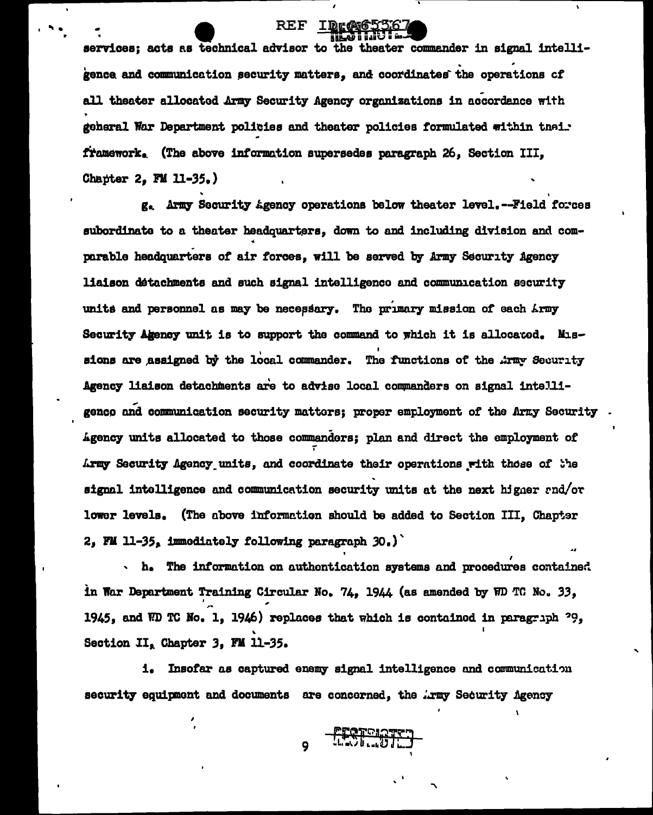services; acts as technical advisor to the theater commander in signal intelligence and communication security matters, and coordinates the operations of all theater allocated Army Security Agency organizations in accordance with geheral War Department policies and theater policies formulated within thei. framework, (The above information supersedes paragraph 26, Section III, Chapter 2, FM 11-35.)

REF

g. Army Security Agency operations below theater level.--Field forces subordinate to a theater headquarters, down to and including division and comparable headquarters of air forces, will be served by Army Security Agency liaison detachments and such signal intelligence and communication security units and personnel as may be necessary. The primary mission of each Army Security Agency unit is to support the command to which it is allocated. Missions are assigned by the local commander. The functions of the Army Security Agency liaison detachments are to advise local commanders on signal intelligenco and communication security mattors; proper employment of the Army Security Agency units allocated to those commanders; plan and direct the employment of Army Security Agency units, and coordinate their operations with those of the signal intelligence and communication security units at the next higher end/or lower levels. (The above information should be added to Section III, Chapter 2, FM 11-35, immodiately following paragraph 30.)

h. The information on authentication systems and procedures contained in War Department Training Circular No. 74, 1944 (as amended by WD TC No. 33, 1945, and WD TC No. 1, 1946) replaces that which is contained in paragraph  $29$ , Section II, Chapter 3, FM 11-35.

i. Insofar as captured enemy signal intelligence and communication security equipment and documents are concerned, the Army Security Agency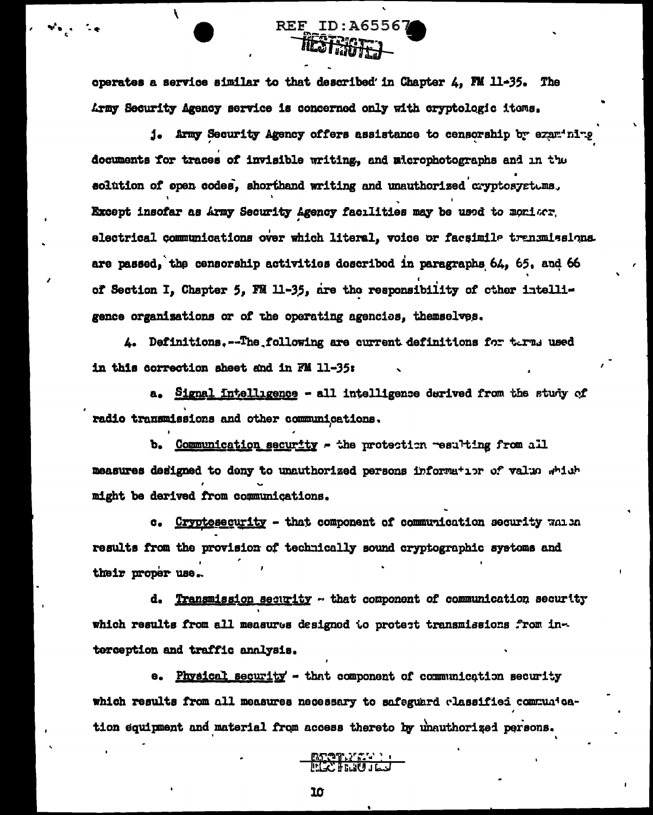operates a service similar to that described in Chapter 4, FM 11-35. The Army Security Agency service is concerned only with cryptologic items.

REF ID: A65567 IEST BATTEL

j. Army Security Agency offers assistance to censorship by examining documents for traces of invisible writing, and microphotographs and in the solution of open codes, shorthand writing and unauthorized cryptosystems. Except insofar as Army Security Agency facilities may be used to moniscr. electrical communications over which literal, voice or facsimile transmissions. are passed, the censorship activities described in paragraphs 64, 65, and 66 of Section I, Chapter 5, FM 11-35, are the responsibility of other intelligence organizations or of the operating agencies, themselves.

4. Definitions.--The following are current definitions for terms used in this correction sheet and in FM 11-35:

a. Signal intelligence - all intelligence derived from the study of radio transmissions and other communications.

b. Communication security - the protection resulting from all measures designed to deny to unauthorized persons information of value which might be derived from communications.

Cryptosecurity - that component of communication security wan in  $$ results from the provision of technically sound cryptographic systems and their proper use.

d. Transmission security - that component of communication security which results from all measures designed to protect transmissions from interception and traffic analysis.

e. Physical security - that component of communication security which results from all measures necessary to safeguard classified communication equipment and material from access thereto by unauthorized persons.

<u>mtəmliğində</u><br>Film farklar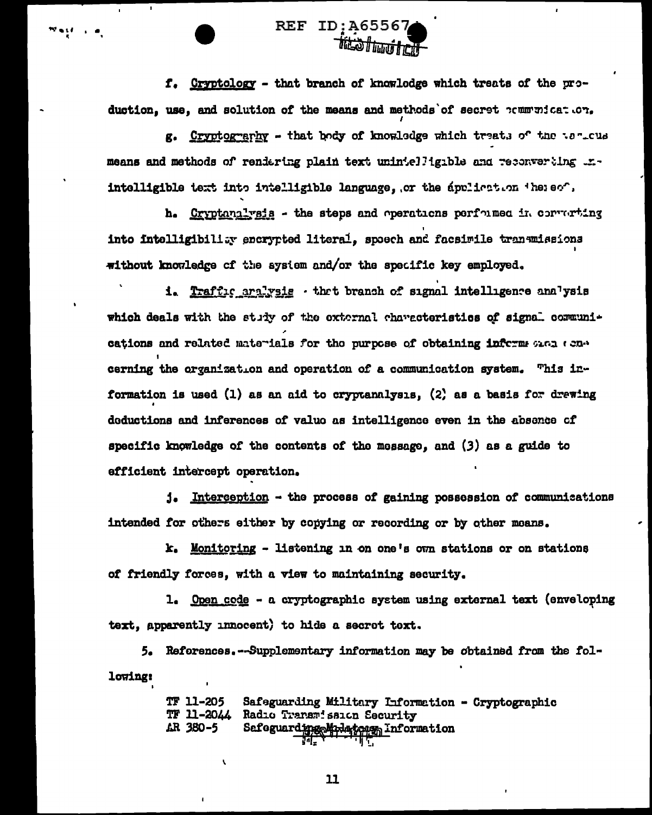

f. Cryptology - that branch of knowledge which treats of the production, use, and solution of the means and methods of secret communication.

g. Cryptography - that body of knowledge which treats of the to-tus means and methods of rendering plain text unintelligible and reconverting .r. intelligible text into intelligible language, or the application thereof.

h. Cryptanalysis - the steps and operations performed in converting into intelligibility encrypted literal, spoech and facsimile transmissions without knowledge of the system and/or the specific key employed.

i. Traffic aralysis · that branch of signal intelligence analysis which deals with the study of the external characteristics of signal communications and related materials for the purpose of obtaining inform ones concerning the organization and operation of a communication system. This information is used (1) as an aid to cryptanalysis. (2) as a basis for drawing deductions and inferences of value as intelligence even in the absence of specific knowledge of the contents of the message, and (3) as a guide to efficient intercept operation.

j. Interception - the process of gaining possession of communications intended for others either by copying or recording or by other means.

 $k_a$  Monitoring - listening in on one's own stations or on stations of friendly forces, with a view to maintaining security.

1. Open code - a cryptographic system using external text (enveloping text, apparently innocent) to hide a secret text.

5. Reforences.--Supplementary information may be obtained from the following:

> **TF 11-205** Safeguarding Military Information - Cryptographic **TF 11-2044** Radio Transmission Security AR 380-5 Safeguard ing Mpdaton information